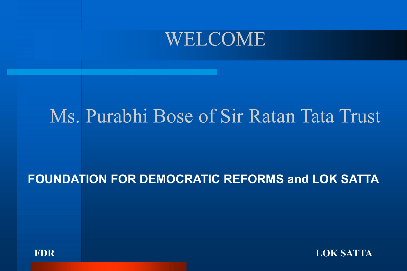#### WELCOME

#### Ms. Purabhi Bose of Sir Ratan Tata Trust

#### FOUNDATION FOR DEMOCRATIC REFORMS and LOK SATTA



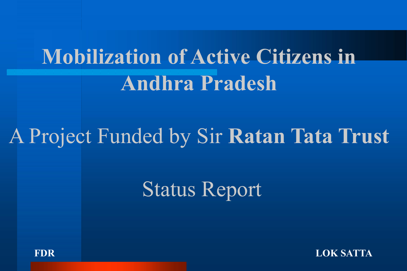# Mobilization of Active Citizens in Andhra Pradesh

# A Project Funded by Sir Ratan Tata Trust

# Status Report



FDR LOK SATTA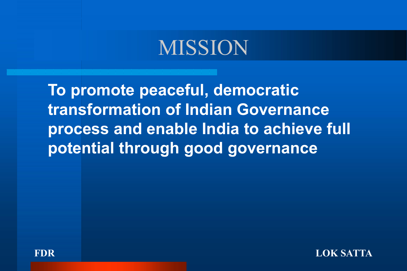## MISSION

To promote peaceful, democratic transformation of Indian Governance process and enable India to achieve full potential through good governance



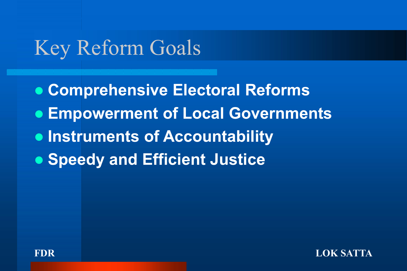# Key Reform Goals

- Comprehensive Electoral Reforms
- **Empowerment of Local Governments**
- **Instruments of Accountability**
- **Speedy and Efficient Justice**



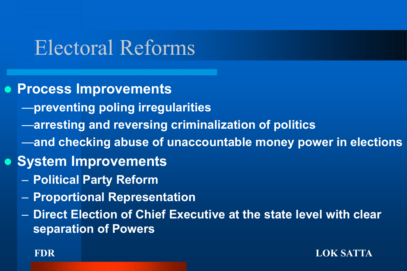# Electoral Reforms

- **Process Improvements** 
	- —preventing poling irregularities
	- —arresting and reversing criminalization of politics
	- —and checking abuse of unaccountable money power in elections
- **System Improvements** 
	- Political Party Reform
	- Proportional Representation
	- Direct Election of Chief Executive at the state level with clear separation of Powers

FDR LOK SATTA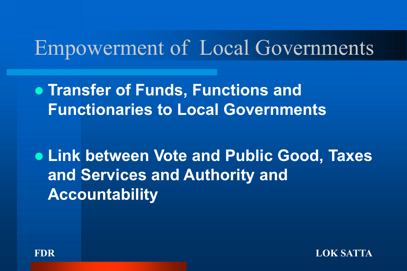### Empowerment of Local Governments

**• Transfer of Funds, Functions and** Functionaries to Local Governments

 Link between Vote and Public Good, Taxes and Services and Authority and Accountability



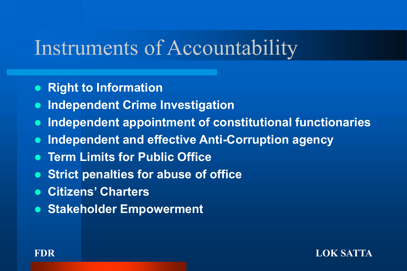#### Instruments of Accountability

- Right to Information
- **. Independent Crime Investigation**
- Independent appointment of constitutional functionaries
- **. Independent and effective Anti-Corruption agency**
- **Term Limits for Public Office**
- Strict penalties for abuse of office
- Citizens' Charters
- **Stakeholder Empowerment**

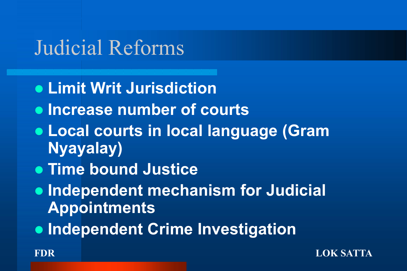# Judicial Reforms

- **.** Limit Writ Jurisdiction
- **.** Increase number of courts
- Local courts in local language (Gram Nyayalay)
- **Time bound Justice**
- **Independent mechanism for Judicial** Appointments
- **Independent Crime Investigation**

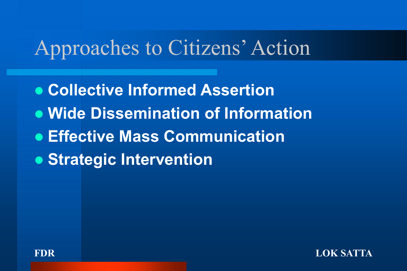# Approaches to Citizens' Action

- Collective Informed Assertion
- Wide Dissemination of Information
- Effective Mass Communication
- Strategic Intervention



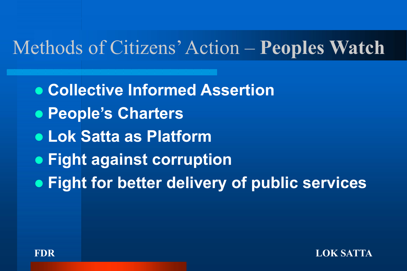### Methods of Citizens' Action – Peoples Watch

- Collective Informed Assertion
- People's Charters
- Lok Satta as Platform
- **Fight against corruption**
- **Fight for better delivery of public services**



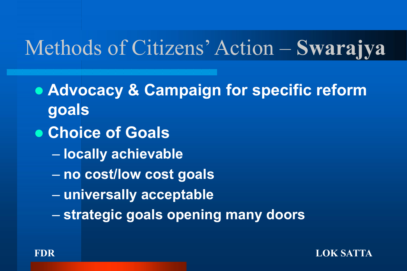# Methods of Citizens' Action – Swarajya

- Advocacy & Campaign for specific reform goals
- Choice of Goals
	- locally achievable
	- no cost/low cost goals
	- universally acceptable
	- strategic goals opening many doors



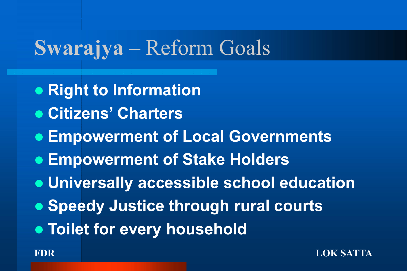# Swarajya – Reform Goals

- Right to Information
- Citizens' Charters
- **Empowerment of Local Governments**
- Empowerment of Stake Holders
- Universally accessible school education
- **Speedy Justice through rural courts**
- **.** Toilet for every household

#### FDR LOK SATTA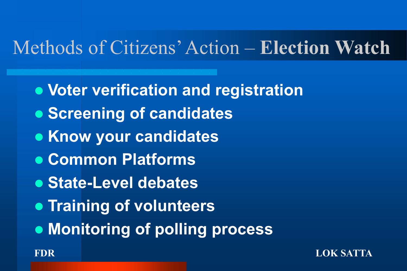# Methods of Citizens' Action – Election Watch

- Voter verification and registration
- Screening of candidates
- Know your candidates
- Common Platforms
- **State-Level debates**
- **Training of volunteers**
- Monitoring of polling process

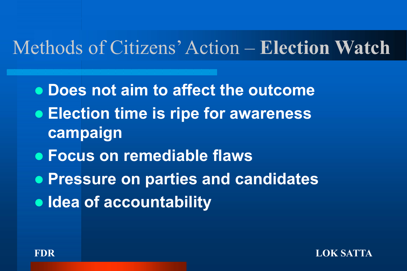#### Methods of Citizens' Action – Election Watch

- Does not aim to affect the outcome
- **Election time is ripe for awareness** campaign
- Focus on remediable flaws
- Pressure on parties and candidates
- Idea of accountability



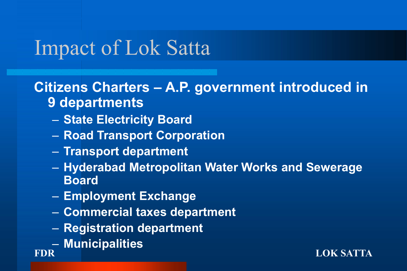#### Citizens Charters – A.P. government introduced in 9 departments

- State Electricity Board
- Road Transport Corporation
- Transport department
- Hyderabad Metropolitan Water Works and Sewerage Board
- Employment Exchange
- Commercial taxes department
- Registration department
- Municipalities

FDR LOK SATTA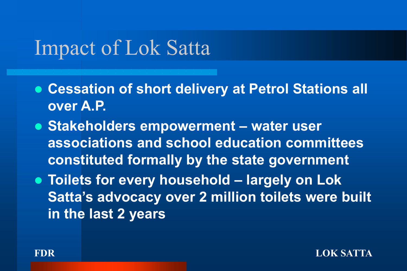- Cessation of short delivery at Petrol Stations all over A.P.
- Stakeholders empowerment water user associations and school education committees constituted formally by the state government
- Toilets for every household largely on Lok Satta's advocacy over 2 million toilets were built in the last 2 years

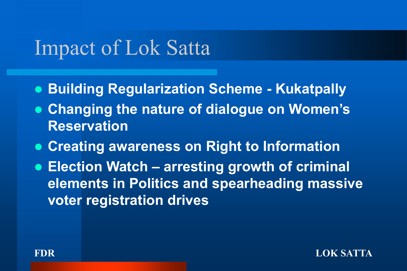- **Building Regularization Scheme Kukatpally**
- Changing the nature of dialogue on Women's Reservation
- Creating awareness on Right to Information
- Election Watch arresting growth of criminal elements in Politics and spearheading massive voter registration drives

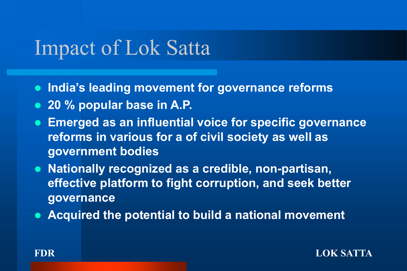• India's leading movement for governance reforms

- 20 % popular base in A.P.
- Emerged as an influential voice for specific governance reforms in various for a of civil society as well as government bodies
- Nationally recognized as a credible, non-partisan, effective platform to fight corruption, and seek better governance
- Acquired the potential to build a national movement

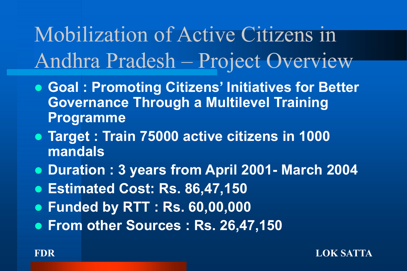Mobilization of Active Citizens in Andhra Pradesh – Project Overview

- Goal : Promoting Citizens' Initiatives for Better Governance Through a Multilevel Training Programme
- Target : Train 75000 active citizens in 1000 mandals
- Duration : 3 years from April 2001- March 2004
- Estimated Cost: Rs. 86,47,150
- **Funded by RTT: Rs. 60,00,000**
- **From other Sources: Rs. 26,47,150**

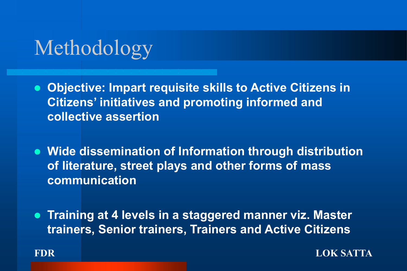# Methodology

- Objective: Impart requisite skills to Active Citizens in Citizens' initiatives and promoting informed and collective assertion
- Wide dissemination of Information through distribution of literature, street plays and other forms of mass communication
- Training at 4 levels in a staggered manner viz. Master trainers, Senior trainers, Trainers and Active Citizens



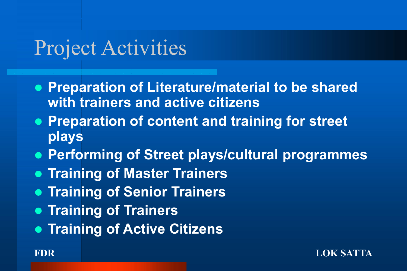# Project Activities

- Preparation of Literature/material to be shared with trainers and active citizens
- Preparation of content and training for street plays
- Performing of Street plays/cultural programmes
- **Training of Master Trainers**
- **Training of Senior Trainers**
- Training of Trainers
- **Training of Active Citizens**

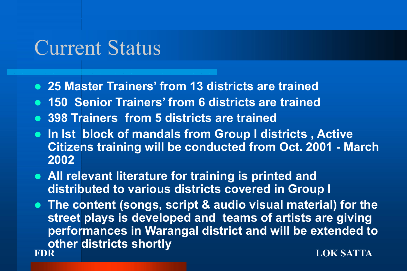### Current Status

- 25 Master Trainers' from 13 districts are trained
- 150 Senior Trainers' from 6 districts are trained
- 398 Trainers from 5 districts are trained
- In Ist block of mandals from Group I districts, Active Citizens training will be conducted from Oct. 2001 - March 2002
- All relevant literature for training is printed and distributed to various districts covered in Group I
- FDR LOK SATTA **• The content (songs, script & audio visual material) for the** street plays is developed and teams of artists are giving performances in Warangal district and will be extended to other districts shortly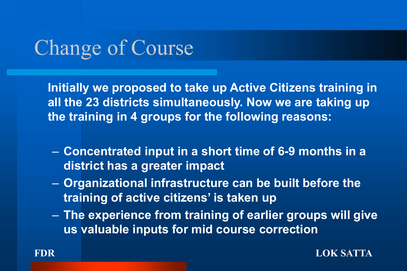# Change of Course

Initially we proposed to take up Active Citizens training in all the 23 districts simultaneously. Now we are taking up the training in 4 groups for the following reasons:

- Concentrated input in a short time of 6-9 months in a district has a greater impact
- Organizational infrastructure can be built before the training of active citizens' is taken up
- The experience from training of earlier groups will give us valuable inputs for mid course correction



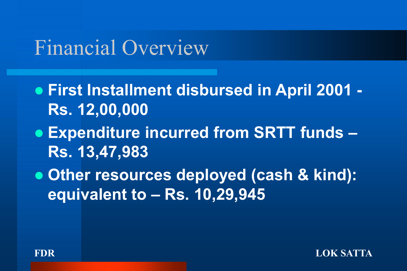### Financial Overview

- First Installment disbursed in April 2001 Rs. 12,00,000
- Expenditure incurred from SRTT funds Rs. 13,47,983
- Other resources deployed (cash & kind): equivalent to – Rs. 10,29,945